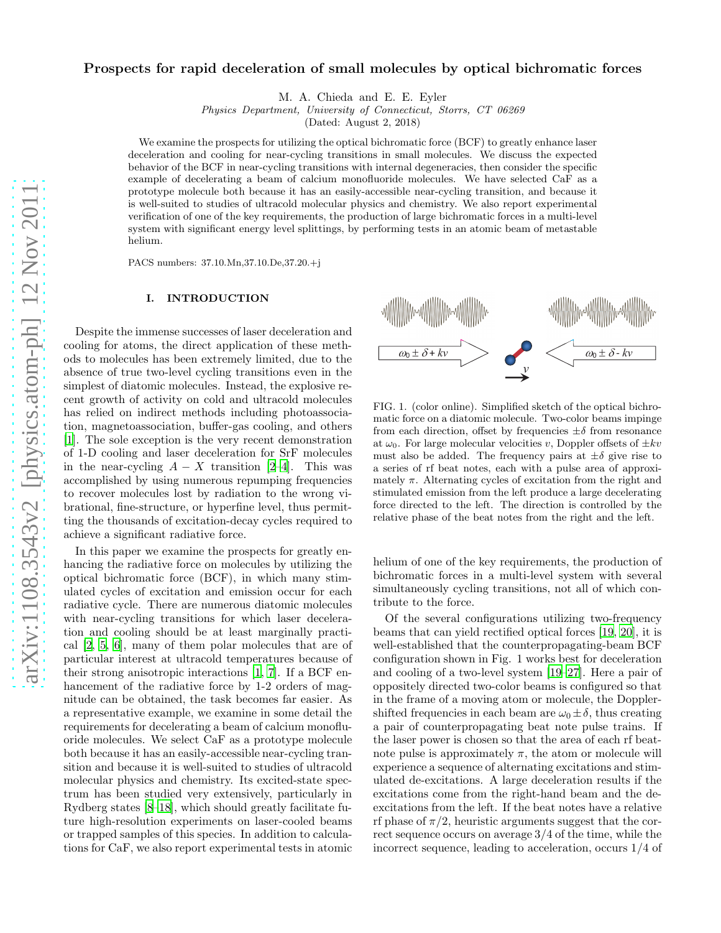# Prospects for rapid deceleration of small molecules by optical bichromatic forces

M. A. Chieda and E. E. Eyler

*Physics Department, University of Connecticut, Storrs, CT 06269*

(Dated: August 2, 2018)

We examine the prospects for utilizing the optical bichromatic force (BCF) to greatly enhance laser deceleration and cooling for near-cycling transitions in small molecules. We discuss the expected behavior of the BCF in near-cycling transitions with internal degeneracies, then consider the specific example of decelerating a beam of calcium monofluoride molecules. We have selected CaF as a prototype molecule both because it has an easily-accessible near-cycling transition, and because it is well-suited to studies of ultracold molecular physics and chemistry. We also report experimental verification of one of the key requirements, the production of large bichromatic forces in a multi-level system with significant energy level splittings, by performing tests in an atomic beam of metastable helium.

PACS numbers: 37.10.Mn,37.10.De,37.20.+j

### I. INTRODUCTION

Despite the immense successes of laser deceleration and cooling for atoms, the direct application of these methods to molecules has been extremely limited, due to the absence of true two-level cycling transitions even in the simplest of diatomic molecules. Instead, the explosive recent growth of activity on cold and ultracold molecules has relied on indirect methods including photoassociation, magnetoassociation, buffer-gas cooling, and others [\[1\]](#page-9-0). The sole exception is the very recent demonstration of 1-D cooling and laser deceleration for SrF molecules in the near-cycling  $A - X$  transition [\[2](#page-9-1)[–4\]](#page-9-2). This was accomplished by using numerous repumping frequencies to recover molecules lost by radiation to the wrong vibrational, fine-structure, or hyperfine level, thus permitting the thousands of excitation-decay cycles required to achieve a significant radiative force.

In this paper we examine the prospects for greatly enhancing the radiative force on molecules by utilizing the optical bichromatic force (BCF), in which many stimulated cycles of excitation and emission occur for each radiative cycle. There are numerous diatomic molecules with near-cycling transitions for which laser deceleration and cooling should be at least marginally practical [\[2](#page-9-1), [5](#page-9-3), [6\]](#page-9-4), many of them polar molecules that are of particular interest at ultracold temperatures because of their strong anisotropic interactions [\[1,](#page-9-0) [7\]](#page-9-5). If a BCF enhancement of the radiative force by 1-2 orders of magnitude can be obtained, the task becomes far easier. As a representative example, we examine in some detail the requirements for decelerating a beam of calcium monofluoride molecules. We select CaF as a prototype molecule both because it has an easily-accessible near-cycling transition and because it is well-suited to studies of ultracold molecular physics and chemistry. Its excited-state spectrum has been studied very extensively, particularly in Rydberg states [\[8](#page-9-6)[–18\]](#page-9-7), which should greatly facilitate future high-resolution experiments on laser-cooled beams or trapped samples of this species. In addition to calculations for CaF, we also report experimental tests in atomic



<span id="page-0-0"></span>FIG. 1. (color online). Simplified sketch of the optical bichromatic force on a diatomic molecule. Two-color beams impinge from each direction, offset by frequencies  $\pm \delta$  from resonance at  $\omega_0$ . For large molecular velocities v, Doppler offsets of  $\pm kv$ must also be added. The frequency pairs at  $\pm \delta$  give rise to a series of rf beat notes, each with a pulse area of approximately  $\pi$ . Alternating cycles of excitation from the right and stimulated emission from the left produce a large decelerating force directed to the left. The direction is controlled by the relative phase of the beat notes from the right and the left.

helium of one of the key requirements, the production of bichromatic forces in a multi-level system with several simultaneously cycling transitions, not all of which contribute to the force.

Of the several configurations utilizing two-frequency beams that can yield rectified optical forces [\[19](#page-9-8), [20](#page-9-9)], it is well-established that the counterpropagating-beam BCF configuration shown in Fig. 1 works best for deceleration and cooling of a two-level system [\[19](#page-9-8)[–27\]](#page-10-0). Here a pair of oppositely directed two-color beams is configured so that in the frame of a moving atom or molecule, the Dopplershifted frequencies in each beam are  $\omega_0 \pm \delta$ , thus creating a pair of counterpropagating beat note pulse trains. If the laser power is chosen so that the area of each rf beatnote pulse is approximately  $\pi$ , the atom or molecule will experience a sequence of alternating excitations and stimulated de-excitations. A large deceleration results if the excitations come from the right-hand beam and the deexcitations from the left. If the beat notes have a relative rf phase of  $\pi/2$ , heuristic arguments suggest that the correct sequence occurs on average 3/4 of the time, while the incorrect sequence, leading to acceleration, occurs 1/4 of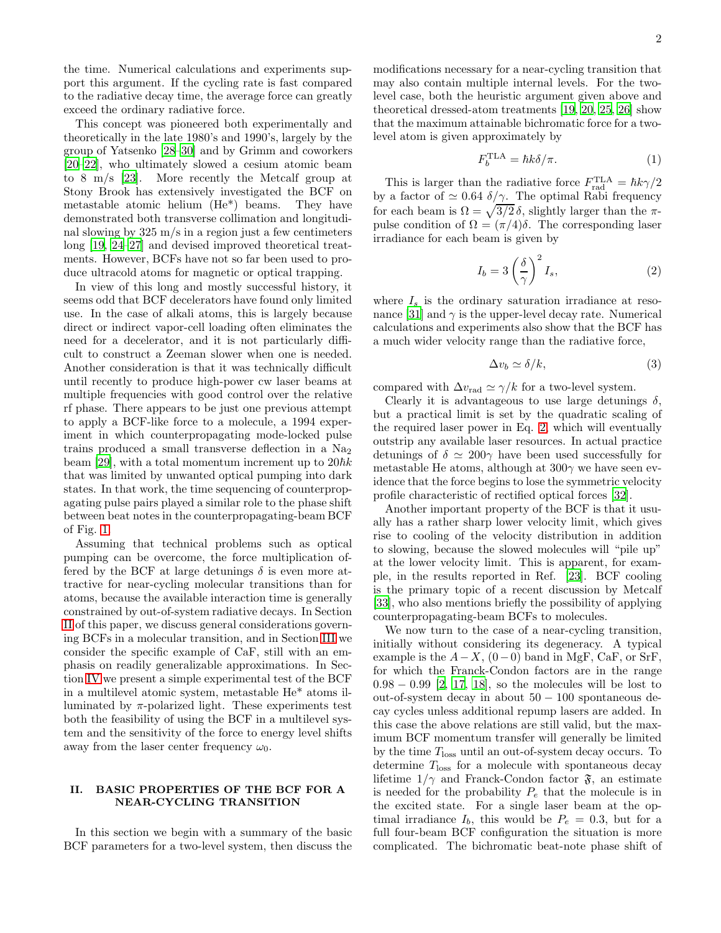the time. Numerical calculations and experiments support this argument. If the cycling rate is fast compared to the radiative decay time, the average force can greatly exceed the ordinary radiative force.

This concept was pioneered both experimentally and theoretically in the late 1980's and 1990's, largely by the group of Yatsenko [\[28](#page-10-1)[–30\]](#page-10-2) and by Grimm and coworkers [\[20](#page-9-9)[–22\]](#page-9-10), who ultimately slowed a cesium atomic beam to 8 m/s [\[23](#page-9-11)]. More recently the Metcalf group at Stony Brook has extensively investigated the BCF on metastable atomic helium (He\*) beams. They have demonstrated both transverse collimation and longitudinal slowing by 325 m/s in a region just a few centimeters long [\[19,](#page-9-8) [24](#page-9-12)[–27\]](#page-10-0) and devised improved theoretical treatments. However, BCFs have not so far been used to produce ultracold atoms for magnetic or optical trapping.

In view of this long and mostly successful history, it seems odd that BCF decelerators have found only limited use. In the case of alkali atoms, this is largely because direct or indirect vapor-cell loading often eliminates the need for a decelerator, and it is not particularly difficult to construct a Zeeman slower when one is needed. Another consideration is that it was technically difficult until recently to produce high-power cw laser beams at multiple frequencies with good control over the relative rf phase. There appears to be just one previous attempt to apply a BCF-like force to a molecule, a 1994 experiment in which counterpropagating mode-locked pulse trains produced a small transverse deflection in a  $Na<sub>2</sub>$ beam [\[29](#page-10-3)], with a total momentum increment up to  $20\hbar k$ that was limited by unwanted optical pumping into dark states. In that work, the time sequencing of counterpropagating pulse pairs played a similar role to the phase shift between beat notes in the counterpropagating-beam BCF of Fig. [1.](#page-0-0)

Assuming that technical problems such as optical pumping can be overcome, the force multiplication offered by the BCF at large detunings  $\delta$  is even more attractive for near-cycling molecular transitions than for atoms, because the available interaction time is generally constrained by out-of-system radiative decays. In Section [II](#page-1-0) of this paper, we discuss general considerations governing BCFs in a molecular transition, and in Section [III](#page-4-0) we consider the specific example of CaF, still with an emphasis on readily generalizable approximations. In Section [IV](#page-6-0) we present a simple experimental test of the BCF in a multilevel atomic system, metastable He\* atoms illuminated by  $\pi$ -polarized light. These experiments test both the feasibility of using the BCF in a multilevel system and the sensitivity of the force to energy level shifts away from the laser center frequency  $\omega_0$ .

## <span id="page-1-0"></span>II. BASIC PROPERTIES OF THE BCF FOR A NEAR-CYCLING TRANSITION

In this section we begin with a summary of the basic BCF parameters for a two-level system, then discuss the modifications necessary for a near-cycling transition that may also contain multiple internal levels. For the twolevel case, both the heuristic argument given above and theoretical dressed-atom treatments [\[19](#page-9-8), [20,](#page-9-9) [25,](#page-9-13) [26](#page-10-4)] show that the maximum attainable bichromatic force for a twolevel atom is given approximately by

$$
F_b^{\text{TLA}} = \hbar k \delta / \pi. \tag{1}
$$

This is larger than the radiative force  $F_{\text{rad}}^{\text{TLA}} = \hbar k \gamma/2$ by a factor of  $\simeq 0.64 \delta/\gamma$ . The optimal Rabi frequency for each beam is  $\Omega = \sqrt{3/2} \delta$ , slightly larger than the  $\pi$ pulse condition of  $\Omega = (\pi/4)\delta$ . The corresponding laser irradiance for each beam is given by

<span id="page-1-1"></span>
$$
I_b = 3\left(\frac{\delta}{\gamma}\right)^2 I_s,\tag{2}
$$

where  $I_s$  is the ordinary saturation irradiance at reso-nance [\[31](#page-10-5)] and  $\gamma$  is the upper-level decay rate. Numerical calculations and experiments also show that the BCF has a much wider velocity range than the radiative force,

<span id="page-1-2"></span>
$$
\Delta v_b \simeq \delta / k, \tag{3}
$$

compared with  $\Delta v_{\text{rad}} \simeq \gamma/k$  for a two-level system.

Clearly it is advantageous to use large detunings  $\delta$ , but a practical limit is set by the quadratic scaling of the required laser power in Eq. [2,](#page-1-1) which will eventually outstrip any available laser resources. In actual practice detunings of  $\delta \simeq 200\gamma$  have been used successfully for metastable He atoms, although at  $300\gamma$  we have seen evidence that the force begins to lose the symmetric velocity profile characteristic of rectified optical forces [\[32\]](#page-10-6).

Another important property of the BCF is that it usually has a rather sharp lower velocity limit, which gives rise to cooling of the velocity distribution in addition to slowing, because the slowed molecules will "pile up" at the lower velocity limit. This is apparent, for example, in the results reported in Ref. [\[23\]](#page-9-11). BCF cooling is the primary topic of a recent discussion by Metcalf [\[33\]](#page-10-7), who also mentions briefly the possibility of applying counterpropagating-beam BCFs to molecules.

We now turn to the case of a near-cycling transition, initially without considering its degeneracy. A typical example is the  $A - X$ ,  $(0 - 0)$  band in MgF, CaF, or SrF, for which the Franck-Condon factors are in the range 0.98 − 0.99 [\[2,](#page-9-1) [17,](#page-9-14) [18\]](#page-9-7), so the molecules will be lost to out-of-system decay in about 50 − 100 spontaneous decay cycles unless additional repump lasers are added. In this case the above relations are still valid, but the maximum BCF momentum transfer will generally be limited by the time  $T_{\text{loss}}$  until an out-of-system decay occurs. To determine  $T_{\text{loss}}$  for a molecule with spontaneous decay lifetime  $1/\gamma$  and Franck-Condon factor  $\mathfrak{F}$ , an estimate is needed for the probability  $P_e$  that the molecule is in the excited state. For a single laser beam at the optimal irradiance  $I_b$ , this would be  $P_e = 0.3$ , but for a full four-beam BCF configuration the situation is more complicated. The bichromatic beat-note phase shift of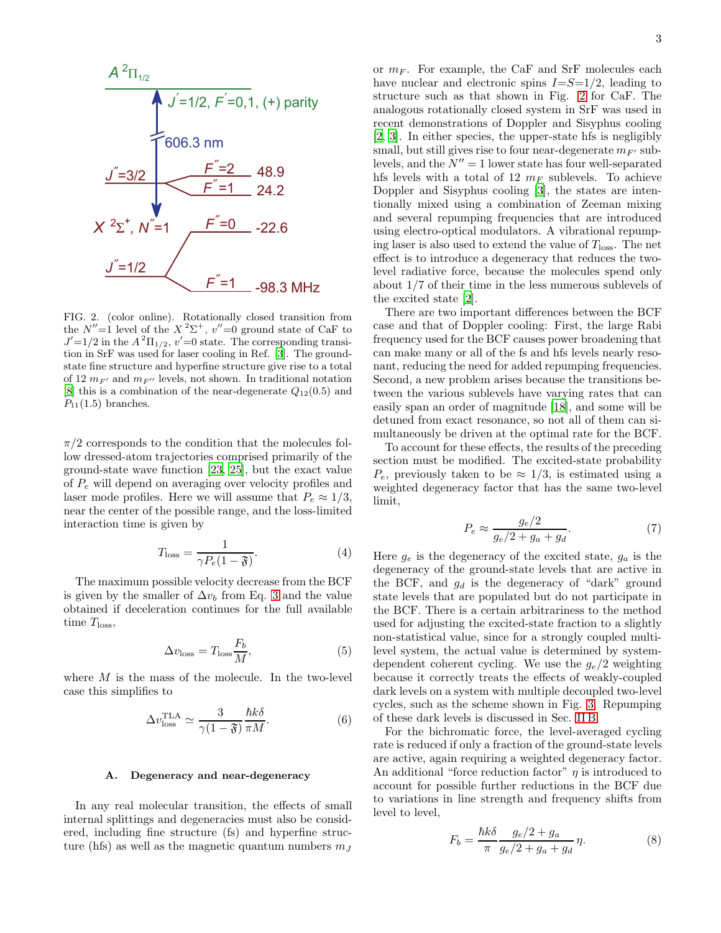

<span id="page-2-0"></span>FIG. 2. (color online). Rotationally closed transition from the  $N''=1$  level of the  $X^2\Sigma^+$ ,  $v''=0$  ground state of CaF to  $J'$ =1/2 in the  $A^2\Pi_{1/2}$ ,  $v'$ =0 state. The corresponding transition in SrF was used for laser cooling in Ref. [\[3](#page-9-15)]. The groundstate fine structure and hyperfine structure give rise to a total of 12  $m_{F'}$  and  $m_{F''}$  levels, not shown. In traditional notation [\[8](#page-9-6)] this is a combination of the near-degenerate  $Q_{12}(0.5)$  and  $P_{11}(1.5)$  branches.

 $\pi/2$  corresponds to the condition that the molecules follow dressed-atom trajectories comprised primarily of the ground-state wave function [\[23,](#page-9-11) [25](#page-9-13)], but the exact value of  $P_e$  will depend on averaging over velocity profiles and laser mode profiles. Here we will assume that  $P_e \approx 1/3$ , near the center of the possible range, and the loss-limited interaction time is given by

<span id="page-2-1"></span>
$$
T_{\text{loss}} = \frac{1}{\gamma P_e (1 - \mathfrak{F})}.
$$
 (4)

The maximum possible velocity decrease from the BCF is given by the smaller of  $\Delta v_b$  from Eq. [3](#page-1-2) and the value obtained if deceleration continues for the full available time  $T<sub>loss</sub>$ ,

<span id="page-2-2"></span>
$$
\Delta v_{\rm loss} = T_{\rm loss} \frac{F_b}{M},\tag{5}
$$

where  $M$  is the mass of the molecule. In the two-level case this simplifies to

$$
\Delta v_{\rm loss}^{\rm TLA} \simeq \frac{3}{\gamma (1 - \mathfrak{F})} \frac{\hbar k \delta}{\pi M}.
$$
 (6)

#### A. Degeneracy and near-degeneracy

In any real molecular transition, the effects of small internal splittings and degeneracies must also be considered, including fine structure (fs) and hyperfine structure (hfs) as well as the magnetic quantum numbers  $m<sub>J</sub>$ 

or  $m_F$ . For example, the CaF and SrF molecules each have nuclear and electronic spins  $I=S=1/2$ , leading to structure such as that shown in Fig. [2](#page-2-0) for CaF. The analogous rotationally closed system in SrF was used in recent demonstrations of Doppler and Sisyphus cooling [\[2,](#page-9-1) [3\]](#page-9-15). In either species, the upper-state hfs is negligibly small, but still gives rise to four near-degenerate  $m_{F'}$  sublevels, and the  $N'' = 1$  lower state has four well-separated hfs levels with a total of 12  $m_F$  sublevels. To achieve Doppler and Sisyphus cooling [\[3\]](#page-9-15), the states are intentionally mixed using a combination of Zeeman mixing and several repumping frequencies that are introduced using electro-optical modulators. A vibrational repumping laser is also used to extend the value of  $T_{\text{loss}}$ . The net effect is to introduce a degeneracy that reduces the twolevel radiative force, because the molecules spend only about 1/7 of their time in the less numerous sublevels of the excited state [\[2](#page-9-1)].

There are two important differences between the BCF case and that of Doppler cooling: First, the large Rabi frequency used for the BCF causes power broadening that can make many or all of the fs and hfs levels nearly resonant, reducing the need for added repumping frequencies. Second, a new problem arises because the transitions between the various sublevels have varying rates that can easily span an order of magnitude [\[18](#page-9-7)], and some will be detuned from exact resonance, so not all of them can simultaneously be driven at the optimal rate for the BCF.

To account for these effects, the results of the preceding section must be modified. The excited-state probability  $P_e$ , previously taken to be  $\approx 1/3$ , is estimated using a weighted degeneracy factor that has the same two-level limit,

<span id="page-2-4"></span>
$$
P_e \approx \frac{g_e/2}{g_e/2 + g_a + g_d}.\tag{7}
$$

Here  $g_e$  is the degeneracy of the excited state,  $g_a$  is the degeneracy of the ground-state levels that are active in the BCF, and  $g_d$  is the degeneracy of "dark" ground state levels that are populated but do not participate in the BCF. There is a certain arbitrariness to the method used for adjusting the excited-state fraction to a slightly non-statistical value, since for a strongly coupled multilevel system, the actual value is determined by systemdependent coherent cycling. We use the  $g_e/2$  weighting because it correctly treats the effects of weakly-coupled dark levels on a system with multiple decoupled two-level cycles, such as the scheme shown in Fig. [3.](#page-4-1) Repumping of these dark levels is discussed in Sec. [II B.](#page-3-0)

For the bichromatic force, the level-averaged cycling rate is reduced if only a fraction of the ground-state levels are active, again requiring a weighted degeneracy factor. An additional "force reduction factor"  $\eta$  is introduced to account for possible further reductions in the BCF due to variations in line strength and frequency shifts from level to level,

<span id="page-2-3"></span>
$$
F_b = \frac{\hbar k \delta}{\pi} \frac{g_e/2 + g_a}{g_e/2 + g_a + g_d} \eta.
$$
 (8)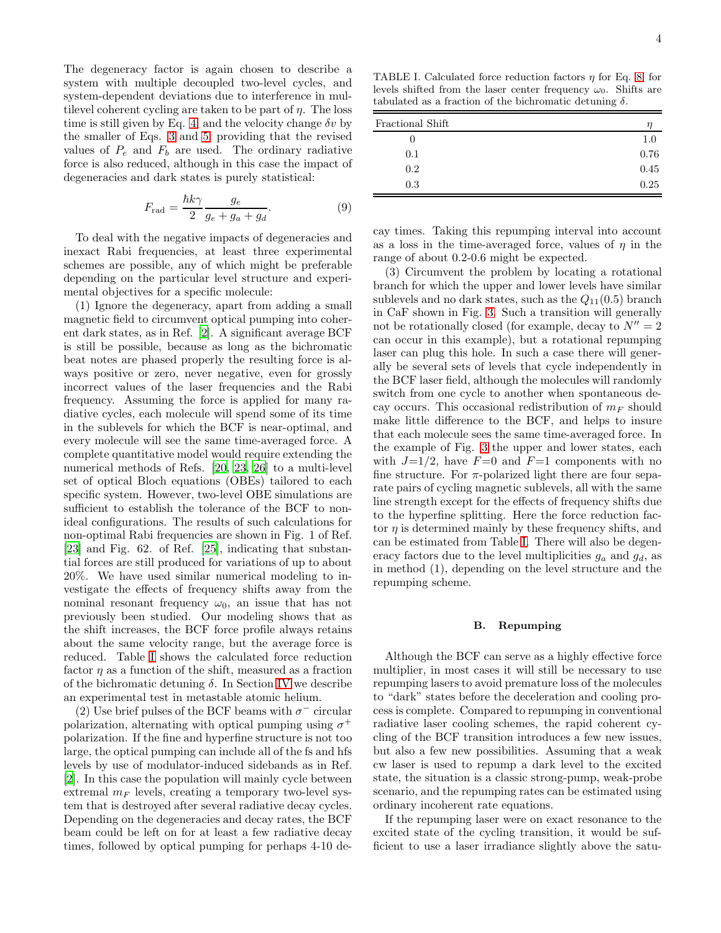The degeneracy factor is again chosen to describe a system with multiple decoupled two-level cycles, and system-dependent deviations due to interference in multilevel coherent cycling are taken to be part of  $\eta$ . The loss time is still given by Eq. [4,](#page-2-1) and the velocity change  $\delta v$  by the smaller of Eqs. [3](#page-1-2) and [5,](#page-2-2) providing that the revised values of  $P_e$  and  $F_b$  are used. The ordinary radiative force is also reduced, although in this case the impact of degeneracies and dark states is purely statistical:

$$
F_{\rm rad} = \frac{\hbar k \gamma}{2} \frac{g_e}{g_e + g_a + g_d}.
$$
 (9)

To deal with the negative impacts of degeneracies and inexact Rabi frequencies, at least three experimental schemes are possible, any of which might be preferable depending on the particular level structure and experimental objectives for a specific molecule:

(1) Ignore the degeneracy, apart from adding a small magnetic field to circumvent optical pumping into coherent dark states, as in Ref. [\[2](#page-9-1)]. A significant average BCF is still be possible, because as long as the bichromatic beat notes are phased properly the resulting force is always positive or zero, never negative, even for grossly incorrect values of the laser frequencies and the Rabi frequency. Assuming the force is applied for many radiative cycles, each molecule will spend some of its time in the sublevels for which the BCF is near-optimal, and every molecule will see the same time-averaged force. A complete quantitative model would require extending the numerical methods of Refs. [\[20,](#page-9-9) [23](#page-9-11), [26\]](#page-10-4) to a multi-level set of optical Bloch equations (OBEs) tailored to each specific system. However, two-level OBE simulations are sufficient to establish the tolerance of the BCF to nonideal configurations. The results of such calculations for non-optimal Rabi frequencies are shown in Fig. 1 of Ref. [\[23\]](#page-9-11) and Fig. 62. of Ref. [\[25\]](#page-9-13), indicating that substantial forces are still produced for variations of up to about 20%. We have used similar numerical modeling to investigate the effects of frequency shifts away from the nominal resonant frequency  $\omega_0$ , an issue that has not previously been studied. Our modeling shows that as the shift increases, the BCF force profile always retains about the same velocity range, but the average force is reduced. Table [I](#page-3-1) shows the calculated force reduction factor  $\eta$  as a function of the shift, measured as a fraction of the bichromatic detuning  $\delta$ . In Section [IV](#page-6-0) we describe an experimental test in metastable atomic helium.

(2) Use brief pulses of the BCF beams with  $\sigma^-$  circular polarization, alternating with optical pumping using  $\sigma^+$ polarization. If the fine and hyperfine structure is not too large, the optical pumping can include all of the fs and hfs levels by use of modulator-induced sidebands as in Ref. [\[2\]](#page-9-1). In this case the population will mainly cycle between extremal  $m_F$  levels, creating a temporary two-level system that is destroyed after several radiative decay cycles. Depending on the degeneracies and decay rates, the BCF beam could be left on for at least a few radiative decay times, followed by optical pumping for perhaps 4-10 de-

<span id="page-3-1"></span>TABLE I. Calculated force reduction factors  $\eta$  for Eq. [8,](#page-2-3) for levels shifted from the laser center frequency  $\omega_0$ . Shifts are tabulated as a fraction of the bichromatic detuning  $\delta$ .

| Fractional Shift |      |
|------------------|------|
|                  | 1.0  |
| 0.1              | 0.76 |
| 0.2              | 0.45 |
| 0.3              | 0.25 |

cay times. Taking this repumping interval into account as a loss in the time-averaged force, values of  $\eta$  in the range of about 0.2-0.6 might be expected.

(3) Circumvent the problem by locating a rotational branch for which the upper and lower levels have similar sublevels and no dark states, such as the  $Q_{11}(0.5)$  branch in CaF shown in Fig. [3.](#page-4-1) Such a transition will generally not be rotationally closed (for example, decay to  $N'' = 2$ can occur in this example), but a rotational repumping laser can plug this hole. In such a case there will generally be several sets of levels that cycle independently in the BCF laser field, although the molecules will randomly switch from one cycle to another when spontaneous decay occurs. This occasional redistribution of  $m_F$  should make little difference to the BCF, and helps to insure that each molecule sees the same time-averaged force. In the example of Fig. [3](#page-4-1) the upper and lower states, each with  $J=1/2$ , have  $F=0$  and  $F=1$  components with no fine structure. For  $\pi$ -polarized light there are four separate pairs of cycling magnetic sublevels, all with the same line strength except for the effects of frequency shifts due to the hyperfine splitting. Here the force reduction factor  $\eta$  is determined mainly by these frequency shifts, and can be estimated from Table [I.](#page-3-1) There will also be degeneracy factors due to the level multiplicities  $g_a$  and  $g_d$ , as in method (1), depending on the level structure and the repumping scheme.

#### <span id="page-3-0"></span>B. Repumping

Although the BCF can serve as a highly effective force multiplier, in most cases it will still be necessary to use repumping lasers to avoid premature loss of the molecules to "dark" states before the deceleration and cooling process is complete. Compared to repumping in conventional radiative laser cooling schemes, the rapid coherent cycling of the BCF transition introduces a few new issues, but also a few new possibilities. Assuming that a weak cw laser is used to repump a dark level to the excited state, the situation is a classic strong-pump, weak-probe scenario, and the repumping rates can be estimated using ordinary incoherent rate equations.

If the repumping laser were on exact resonance to the excited state of the cycling transition, it would be sufficient to use a laser irradiance slightly above the satu-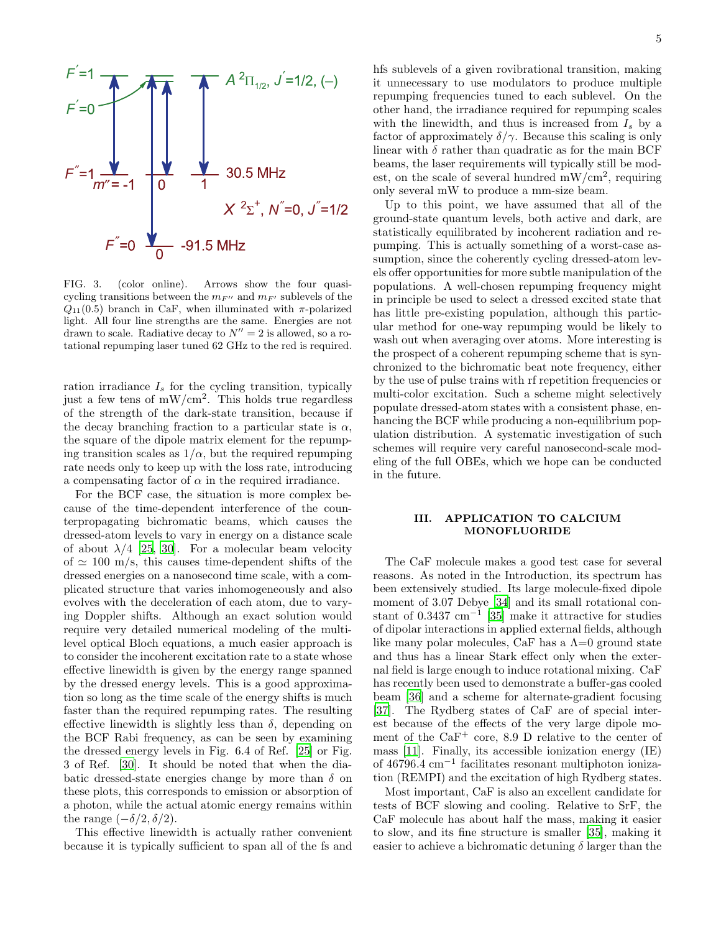

<span id="page-4-1"></span>FIG. 3. (color online). Arrows show the four quasicycling transitions between the  $m_{F}$  and  $m_{F}$  sublevels of the  $Q_{11}(0.5)$  branch in CaF, when illuminated with  $\pi$ -polarized light. All four line strengths are the same. Energies are not drawn to scale. Radiative decay to  $N'' = 2$  is allowed, so a rotational repumping laser tuned 62 GHz to the red is required.

ration irradiance  $I_s$  for the cycling transition, typically just a few tens of mW/cm<sup>2</sup> . This holds true regardless of the strength of the dark-state transition, because if the decay branching fraction to a particular state is  $\alpha$ , the square of the dipole matrix element for the repumping transition scales as  $1/\alpha$ , but the required repumping rate needs only to keep up with the loss rate, introducing a compensating factor of  $\alpha$  in the required irradiance.

For the BCF case, the situation is more complex because of the time-dependent interference of the counterpropagating bichromatic beams, which causes the dressed-atom levels to vary in energy on a distance scale of about  $\lambda/4$  [\[25,](#page-9-13) [30](#page-10-2)]. For a molecular beam velocity of  $\simeq$  100 m/s, this causes time-dependent shifts of the dressed energies on a nanosecond time scale, with a complicated structure that varies inhomogeneously and also evolves with the deceleration of each atom, due to varying Doppler shifts. Although an exact solution would require very detailed numerical modeling of the multilevel optical Bloch equations, a much easier approach is to consider the incoherent excitation rate to a state whose effective linewidth is given by the energy range spanned by the dressed energy levels. This is a good approximation so long as the time scale of the energy shifts is much faster than the required repumping rates. The resulting effective linewidth is slightly less than  $\delta$ , depending on the BCF Rabi frequency, as can be seen by examining the dressed energy levels in Fig. 6.4 of Ref. [\[25](#page-9-13)] or Fig. 3 of Ref. [\[30\]](#page-10-2). It should be noted that when the diabatic dressed-state energies change by more than  $\delta$  on these plots, this corresponds to emission or absorption of a photon, while the actual atomic energy remains within the range  $(-\delta/2, \delta/2)$ .

This effective linewidth is actually rather convenient because it is typically sufficient to span all of the fs and hfs sublevels of a given rovibrational transition, making it unnecessary to use modulators to produce multiple repumping frequencies tuned to each sublevel. On the other hand, the irradiance required for repumping scales with the linewidth, and thus is increased from  $I_s$  by a factor of approximately  $\delta/\gamma$ . Because this scaling is only linear with  $\delta$  rather than quadratic as for the main BCF beams, the laser requirements will typically still be modest, on the scale of several hundred  $mW/cm^2$ , requiring only several mW to produce a mm-size beam.

Up to this point, we have assumed that all of the ground-state quantum levels, both active and dark, are statistically equilibrated by incoherent radiation and repumping. This is actually something of a worst-case assumption, since the coherently cycling dressed-atom levels offer opportunities for more subtle manipulation of the populations. A well-chosen repumping frequency might in principle be used to select a dressed excited state that has little pre-existing population, although this particular method for one-way repumping would be likely to wash out when averaging over atoms. More interesting is the prospect of a coherent repumping scheme that is synchronized to the bichromatic beat note frequency, either by the use of pulse trains with rf repetition frequencies or multi-color excitation. Such a scheme might selectively populate dressed-atom states with a consistent phase, enhancing the BCF while producing a non-equilibrium population distribution. A systematic investigation of such schemes will require very careful nanosecond-scale modeling of the full OBEs, which we hope can be conducted in the future.

## <span id="page-4-0"></span>III. APPLICATION TO CALCIUM MONOFLUORIDE

The CaF molecule makes a good test case for several reasons. As noted in the Introduction, its spectrum has been extensively studied. Its large molecule-fixed dipole moment of 3.07 Debye [\[34\]](#page-10-8) and its small rotational con-stant of 0.3437 cm<sup>-1</sup> [\[35](#page-10-9)] make it attractive for studies of dipolar interactions in applied external fields, although like many polar molecules, CaF has a  $\Lambda=0$  ground state and thus has a linear Stark effect only when the external field is large enough to induce rotational mixing. CaF has recently been used to demonstrate a buffer-gas cooled beam [\[36](#page-10-10)] and a scheme for alternate-gradient focusing [\[37\]](#page-10-11). The Rydberg states of CaF are of special interest because of the effects of the very large dipole moment of the  $CaF^+$  core, 8.9 D relative to the center of mass [\[11\]](#page-9-16). Finally, its accessible ionization energy (IE) of 46796.4 cm<sup>−</sup><sup>1</sup> facilitates resonant multiphoton ionization (REMPI) and the excitation of high Rydberg states.

Most important, CaF is also an excellent candidate for tests of BCF slowing and cooling. Relative to SrF, the CaF molecule has about half the mass, making it easier to slow, and its fine structure is smaller [\[35](#page-10-9)], making it easier to achieve a bichromatic detuning  $\delta$  larger than the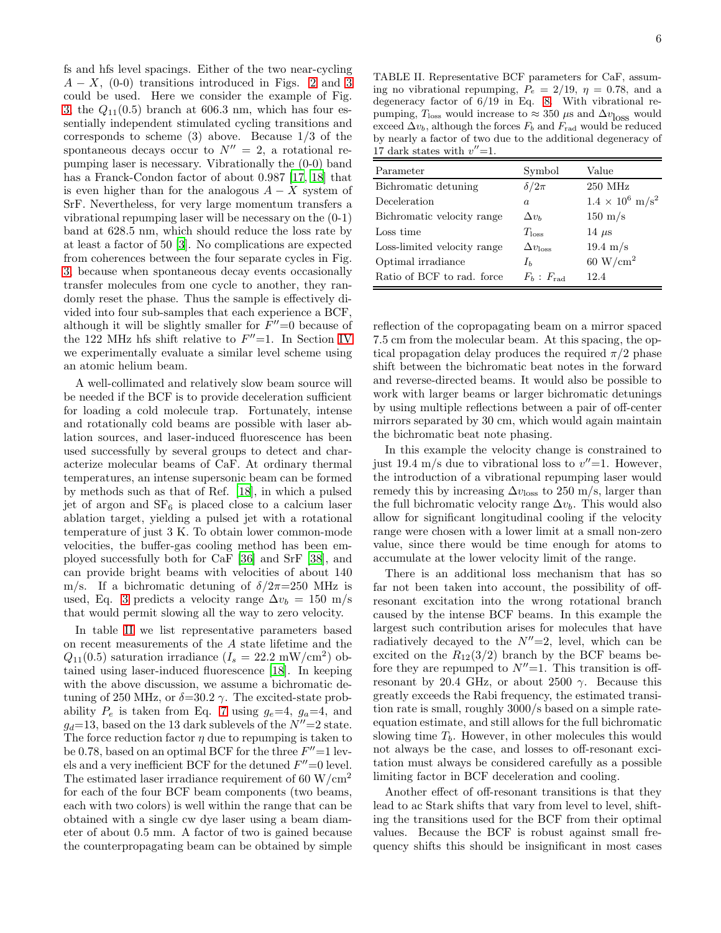fs and hfs level spacings. Either of the two near-cycling  $A - X$ , (0-0) transitions introduced in Figs. [2](#page-2-0) and [3](#page-4-1) could be used. Here we consider the example of Fig. [3,](#page-4-1) the  $Q_{11}(0.5)$  branch at 606.3 nm, which has four essentially independent stimulated cycling transitions and corresponds to scheme (3) above. Because 1/3 of the spontaneous decays occur to  $N'' = 2$ , a rotational repumping laser is necessary. Vibrationally the (0-0) band has a Franck-Condon factor of about 0.987 [\[17](#page-9-14), [18\]](#page-9-7) that is even higher than for the analogous  $A - X$  system of SrF. Nevertheless, for very large momentum transfers a vibrational repumping laser will be necessary on the (0-1) band at 628.5 nm, which should reduce the loss rate by at least a factor of 50 [\[3\]](#page-9-15). No complications are expected from coherences between the four separate cycles in Fig. [3,](#page-4-1) because when spontaneous decay events occasionally transfer molecules from one cycle to another, they randomly reset the phase. Thus the sample is effectively divided into four sub-samples that each experience a BCF, although it will be slightly smaller for  $F''=0$  because of the 122 MHz hfs shift relative to  $F''=1$ . In Section [IV](#page-6-0) we experimentally evaluate a similar level scheme using an atomic helium beam.

A well-collimated and relatively slow beam source will be needed if the BCF is to provide deceleration sufficient for loading a cold molecule trap. Fortunately, intense and rotationally cold beams are possible with laser ablation sources, and laser-induced fluorescence has been used successfully by several groups to detect and characterize molecular beams of CaF. At ordinary thermal temperatures, an intense supersonic beam can be formed by methods such as that of Ref. [\[18\]](#page-9-7), in which a pulsed jet of argon and  $SF_6$  is placed close to a calcium laser ablation target, yielding a pulsed jet with a rotational temperature of just 3 K. To obtain lower common-mode velocities, the buffer-gas cooling method has been employed successfully both for CaF [\[36\]](#page-10-10) and SrF [\[38\]](#page-10-12), and can provide bright beams with velocities of about 140 m/s. If a bichromatic detuning of  $\delta/2\pi=250$  MHz is used, Eq. [3](#page-1-2) predicts a velocity range  $\Delta v_b = 150$  m/s that would permit slowing all the way to zero velocity.

In table [II](#page-5-0) we list representative parameters based on recent measurements of the  $A$  state lifetime and the  $% \mathcal{A}$  $Q_{11}(0.5)$  saturation irradiance  $(I_s = 22.2 \text{ mW/cm}^2)$  obtained using laser-induced fluorescence [\[18](#page-9-7)]. In keeping with the above discussion, we assume a bichromatic detuning of 250 MHz, or  $\delta = 30.2 \gamma$ . The excited-state probability  $P_e$  is taken from Eq. [7](#page-2-4) using  $q_e=4$ ,  $q_a=4$ , and  $g_d$ =13, based on the 13 dark sublevels of the  $N''=2$  state. The force reduction factor  $\eta$  due to repumping is taken to be 0.78, based on an optimal BCF for the three  $F''=1$  levels and a very inefficient BCF for the detuned  $F''=0$  level. The estimated laser irradiance requirement of 60  $\rm W/cm^2$ for each of the four BCF beam components (two beams, each with two colors) is well within the range that can be obtained with a single cw dye laser using a beam diameter of about 0.5 mm. A factor of two is gained because the counterpropagating beam can be obtained by simple

<span id="page-5-0"></span>TABLE II. Representative BCF parameters for CaF, assuming no vibrational repumping,  $P_e = 2/19$ ,  $\eta = 0.78$ , and a degeneracy factor of 6/19 in Eq. [8.](#page-2-3) With vibrational repumping,  $T_{\text{loss}}$  would increase to ≈ 350  $\mu$ s and  $\Delta v_{\text{loss}}$  would exceed  $\Delta v_b$ , although the forces  $F_b$  and  $F_{rad}$  would be reduced by nearly a factor of two due to the additional degeneracy of 17 dark states with  $v''=1$ .

| Parameter                   | Symbol                | Value                           |
|-----------------------------|-----------------------|---------------------------------|
| Bichromatic detuning        | $\delta/2\pi$         | $250$ MHz                       |
| Deceleration                | $\alpha$              | $1.4 \times 10^6 \text{ m/s}^2$ |
| Bichromatic velocity range  | $\Delta v_b$          | $150 \text{ m/s}$               |
| Loss time                   | $T_{\rm loss}$        | 14 $\mu$ s                      |
| Loss-limited velocity range | $\Delta v_{\rm loss}$ | $19.4 \text{ m/s}$              |
| Optimal irradiance          | $I_h$                 | $60 \text{ W/cm}^2$             |
| Ratio of BCF to rad. force  | $F_b$ : $F_{rad}$     | 12.4                            |
|                             |                       |                                 |

reflection of the copropagating beam on a mirror spaced 7.5 cm from the molecular beam. At this spacing, the optical propagation delay produces the required  $\pi/2$  phase shift between the bichromatic beat notes in the forward and reverse-directed beams. It would also be possible to work with larger beams or larger bichromatic detunings by using multiple reflections between a pair of off-center mirrors separated by 30 cm, which would again maintain the bichromatic beat note phasing.

In this example the velocity change is constrained to just 19.4 m/s due to vibrational loss to  $v''=1$ . However, the introduction of a vibrational repumping laser would remedy this by increasing  $\Delta v_{\rm loss}$  to 250 m/s, larger than the full bichromatic velocity range  $\Delta v_b$ . This would also allow for significant longitudinal cooling if the velocity range were chosen with a lower limit at a small non-zero value, since there would be time enough for atoms to accumulate at the lower velocity limit of the range.

There is an additional loss mechanism that has so far not been taken into account, the possibility of offresonant excitation into the wrong rotational branch caused by the intense BCF beams. In this example the largest such contribution arises for molecules that have radiatively decayed to the  $N''=2$ , level, which can be excited on the  $R_{12}(3/2)$  branch by the BCF beams before they are repumped to  $N''=1$ . This transition is offresonant by 20.4 GHz, or about 2500  $\gamma$ . Because this greatly exceeds the Rabi frequency, the estimated transition rate is small, roughly 3000/s based on a simple rateequation estimate, and still allows for the full bichromatic slowing time  $T<sub>b</sub>$ . However, in other molecules this would not always be the case, and losses to off-resonant excitation must always be considered carefully as a possible limiting factor in BCF deceleration and cooling.

Another effect of off-resonant transitions is that they lead to ac Stark shifts that vary from level to level, shifting the transitions used for the BCF from their optimal values. Because the BCF is robust against small frequency shifts this should be insignificant in most cases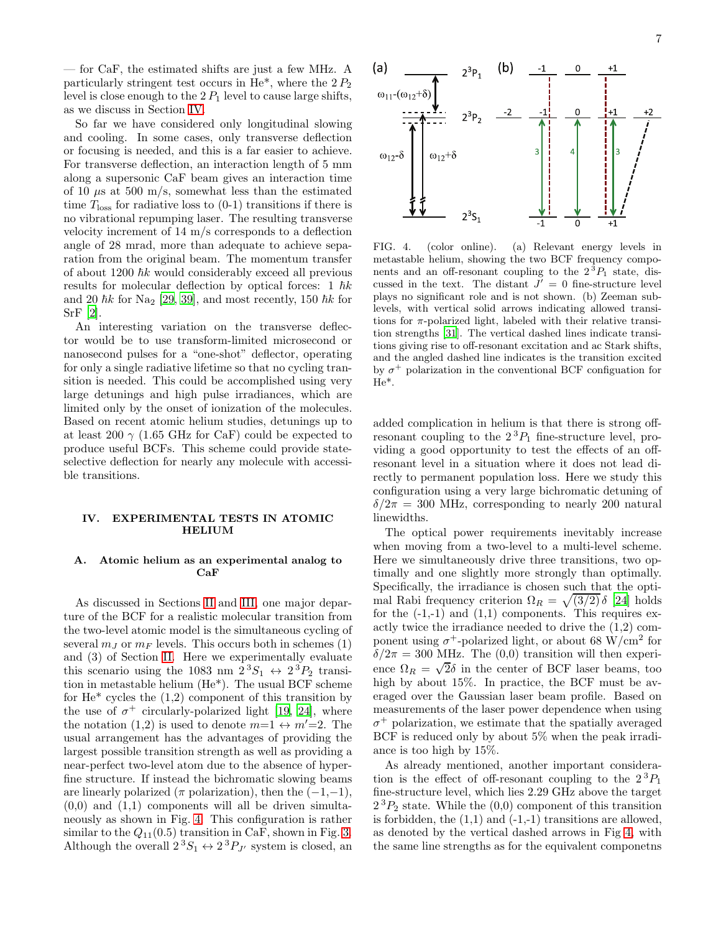— for CaF, the estimated shifts are just a few MHz. A particularly stringent test occurs in He<sup>\*</sup>, where the  $2P_2$ level is close enough to the  $2 P_1$  level to cause large shifts, as we discuss in Section [IV.](#page-6-0)

So far we have considered only longitudinal slowing and cooling. In some cases, only transverse deflection or focusing is needed, and this is a far easier to achieve. For transverse deflection, an interaction length of 5 mm along a supersonic CaF beam gives an interaction time of 10  $\mu$ s at 500 m/s, somewhat less than the estimated time  $T_{\text{loss}}$  for radiative loss to (0-1) transitions if there is no vibrational repumping laser. The resulting transverse velocity increment of 14 m/s corresponds to a deflection angle of 28 mrad, more than adequate to achieve separation from the original beam. The momentum transfer of about 1200  $\hbar k$  would considerably exceed all previous results for molecular deflection by optical forces: 1  $\hbar k$ and 20  $\hbar k$  for Na<sub>2</sub> [\[29,](#page-10-3) [39\]](#page-10-13), and most recently, 150  $\hbar k$  for SrF [\[2\]](#page-9-1).

An interesting variation on the transverse deflector would be to use transform-limited microsecond or nanosecond pulses for a "one-shot" deflector, operating for only a single radiative lifetime so that no cycling transition is needed. This could be accomplished using very large detunings and high pulse irradiances, which are limited only by the onset of ionization of the molecules. Based on recent atomic helium studies, detunings up to at least 200  $\gamma$  (1.65 GHz for CaF) could be expected to produce useful BCFs. This scheme could provide stateselective deflection for nearly any molecule with accessible transitions.

### <span id="page-6-0"></span>IV. EXPERIMENTAL TESTS IN ATOMIC HELIUM

## A. Atomic helium as an experimental analog to CaF

As discussed in Sections [II](#page-1-0) and [III,](#page-4-0) one major departure of the BCF for a realistic molecular transition from the two-level atomic model is the simultaneous cycling of several  $m<sub>J</sub>$  or  $m<sub>F</sub>$  levels. This occurs both in schemes (1) and (3) of Section [II.](#page-1-0) Here we experimentally evaluate this scenario using the 1083 nm  $2^3S_1 \leftrightarrow 2^3P_2$  transition in metastable helium (He\*). The usual BCF scheme for  $He^*$  cycles the  $(1,2)$  component of this transition by the use of  $\sigma^+$  circularly-polarized light [\[19,](#page-9-8) [24](#page-9-12)], where the notation (1,2) is used to denote  $m=1 \leftrightarrow m'=2$ . The usual arrangement has the advantages of providing the largest possible transition strength as well as providing a near-perfect two-level atom due to the absence of hyperfine structure. If instead the bichromatic slowing beams are linearly polarized ( $\pi$  polarization), then the  $(-1,-1)$ ,  $(0,0)$  and  $(1,1)$  components will all be driven simultaneously as shown in Fig. [4.](#page-6-1) This configuration is rather similar to the  $Q_{11}(0.5)$  transition in CaF, shown in Fig. [3.](#page-4-1) Although the overall  $2^3S_1 \leftrightarrow 2^3P_{J'}$  system is closed, an



<span id="page-6-1"></span>FIG. 4. (color online). (a) Relevant energy levels in metastable helium, showing the two BCF frequency components and an off-resonant coupling to the  $2^{3}P_{1}$  state, discussed in the text. The distant  $J' = 0$  fine-structure level plays no significant role and is not shown. (b) Zeeman sublevels, with vertical solid arrows indicating allowed transitions for  $\pi$ -polarized light, labeled with their relative transition strengths [\[31\]](#page-10-5). The vertical dashed lines indicate transitions giving rise to off-resonant excitation and ac Stark shifts, and the angled dashed line indicates is the transition excited by  $\sigma^+$  polarization in the conventional BCF configuation for He\*.

added complication in helium is that there is strong offresonant coupling to the  $2^{3}P_{1}$  fine-structure level, providing a good opportunity to test the effects of an offresonant level in a situation where it does not lead directly to permanent population loss. Here we study this configuration using a very large bichromatic detuning of  $\delta/2\pi = 300$  MHz, corresponding to nearly 200 natural linewidths.

The optical power requirements inevitably increase when moving from a two-level to a multi-level scheme. Here we simultaneously drive three transitions, two optimally and one slightly more strongly than optimally. Specifically, the irradiance is chosen such that the optimal Rabi frequency criterion  $\Omega_R = \sqrt{3/2} \delta$  [\[24\]](#page-9-12) holds for the  $(-1,-1)$  and  $(1,1)$  components. This requires exactly twice the irradiance needed to drive the (1,2) component using  $\sigma^+$ -polarized light, or about 68 W/cm<sup>2</sup> for  $\delta/2\pi = 300$  MHz. The (0,0) transition will then experience  $\Omega_R = \sqrt{2}\delta$  in the center of BCF laser beams, too high by about 15%. In practice, the BCF must be averaged over the Gaussian laser beam profile. Based on measurements of the laser power dependence when using  $\sigma^+$  polarization, we estimate that the spatially averaged BCF is reduced only by about 5% when the peak irradiance is too high by 15%.

As already mentioned, another important consideration is the effect of off-resonant coupling to the  $2^{3}P_{1}$ fine-structure level, which lies 2.29 GHz above the target  $2^{3}P_{2}$  state. While the  $(0,0)$  component of this transition is forbidden, the  $(1,1)$  and  $(-1,-1)$  transitions are allowed, as denoted by the vertical dashed arrows in Fig [4,](#page-6-1) with the same line strengths as for the equivalent componetns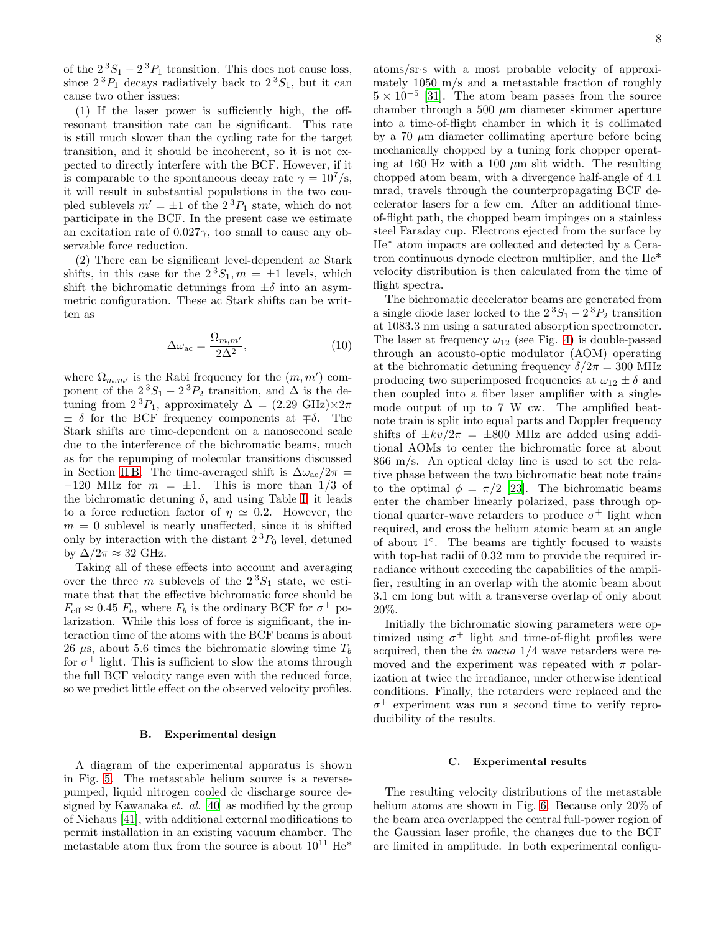of the  $2^{3}S_{1} - 2^{3}P_{1}$  transition. This does not cause loss, since  $2^{3}P_{1}$  decays radiatively back to  $2^{3}S_{1}$ , but it can cause two other issues:

(1) If the laser power is sufficiently high, the offresonant transition rate can be significant. This rate is still much slower than the cycling rate for the target transition, and it should be incoherent, so it is not expected to directly interfere with the BCF. However, if it is comparable to the spontaneous decay rate  $\gamma = 10^7 \text{/s}$ , it will result in substantial populations in the two coupled sublevels  $m' = \pm 1$  of the  $2^{3}P_{1}$  state, which do not participate in the BCF. In the present case we estimate an excitation rate of  $0.027\gamma$ , too small to cause any observable force reduction.

(2) There can be significant level-dependent ac Stark shifts, in this case for the  $2^3S_1$ ,  $m = \pm 1$  levels, which shift the bichromatic detunings from  $\pm \delta$  into an asymmetric configuration. These ac Stark shifts can be written as

$$
\Delta\omega_{\rm ac} = \frac{\Omega_{m,m'}}{2\Delta^2},\tag{10}
$$

where  $\Omega_{m,m'}$  is the Rabi frequency for the  $(m, m')$  component of the  $2^{3}S_{1} - 2^{3}P_{2}$  transition, and  $\Delta$  is the detuning from  $2^{3}P_1$ , approximately  $\Delta = (2.29 \text{ GHz}) \times 2\pi$  $\pm \delta$  for the BCF frequency components at  $\mp \delta$ . The Stark shifts are time-dependent on a nanosecond scale due to the interference of the bichromatic beams, much as for the repumping of molecular transitions discussed in Section [II B.](#page-3-0) The time-averaged shift is  $\Delta \omega_{ac}/2\pi =$  $-120$  MHz for  $m = \pm 1$ . This is more than 1/3 of the bichromatic detuning  $\delta$ , and using Table [I,](#page-3-1) it leads to a force reduction factor of  $\eta \simeq 0.2$ . However, the  $m = 0$  sublevel is nearly unaffected, since it is shifted only by interaction with the distant  $2^{3}P_{0}$  level, detuned by  $\Delta/2\pi \approx 32$  GHz.

Taking all of these effects into account and averaging over the three m sublevels of the  $2<sup>3</sup>S<sub>1</sub>$  state, we estimate that that the effective bichromatic force should be  $F_{\text{eff}} \approx 0.45 F_b$ , where  $F_b$  is the ordinary BCF for  $\sigma^+$  polarization. While this loss of force is significant, the interaction time of the atoms with the BCF beams is about 26  $\mu$ s, about 5.6 times the bichromatic slowing time  $T_b$ for  $\sigma^+$  light. This is sufficient to slow the atoms through the full BCF velocity range even with the reduced force, so we predict little effect on the observed velocity profiles.

#### B. Experimental design

A diagram of the experimental apparatus is shown in Fig. [5.](#page-8-0) The metastable helium source is a reversepumped, liquid nitrogen cooled dc discharge source designed by Kawanaka et. al. [\[40\]](#page-10-14) as modified by the group of Niehaus [\[41\]](#page-10-15), with additional external modifications to permit installation in an existing vacuum chamber. The metastable atom flux from the source is about  $10^{11}$  He<sup>\*</sup>

atoms/sr·s with a most probable velocity of approximately 1050 m/s and a metastable fraction of roughly  $5 \times 10^{-5}$  [\[31](#page-10-5)]. The atom beam passes from the source chamber through a 500  $\mu$ m diameter skimmer aperture into a time-of-flight chamber in which it is collimated by a 70  $\mu$ m diameter collimating aperture before being mechanically chopped by a tuning fork chopper operating at 160 Hz with a 100  $\mu$ m slit width. The resulting chopped atom beam, with a divergence half-angle of 4.1 mrad, travels through the counterpropagating BCF decelerator lasers for a few cm. After an additional timeof-flight path, the chopped beam impinges on a stainless steel Faraday cup. Electrons ejected from the surface by He\* atom impacts are collected and detected by a Ceratron continuous dynode electron multiplier, and the He\* velocity distribution is then calculated from the time of flight spectra.

The bichromatic decelerator beams are generated from a single diode laser locked to the  $2^3S_1 - 2^3P_2$  transition at 1083.3 nm using a saturated absorption spectrometer. The laser at frequency  $\omega_{12}$  (see Fig. [4\)](#page-6-1) is double-passed through an acousto-optic modulator (AOM) operating at the bichromatic detuning frequency  $\delta/2\pi = 300$  MHz producing two superimposed frequencies at  $\omega_{12} \pm \delta$  and then coupled into a fiber laser amplifier with a singlemode output of up to 7 W cw. The amplified beatnote train is split into equal parts and Doppler frequency shifts of  $\pm kv/2\pi = \pm 800$  MHz are added using additional AOMs to center the bichromatic force at about 866 m/s. An optical delay line is used to set the relative phase between the two bichromatic beat note trains to the optimal  $\phi = \pi/2$  [\[23\]](#page-9-11). The bichromatic beams enter the chamber linearly polarized, pass through optional quarter-wave retarders to produce  $\sigma^+$  light when required, and cross the helium atomic beam at an angle of about 1°. The beams are tightly focused to waists with top-hat radii of  $0.32$  mm to provide the required irradiance without exceeding the capabilities of the amplifier, resulting in an overlap with the atomic beam about 3.1 cm long but with a transverse overlap of only about 20%.

Initially the bichromatic slowing parameters were optimized using  $\sigma^+$  light and time-of-flight profiles were acquired, then the in vacuo 1/4 wave retarders were removed and the experiment was repeated with  $\pi$  polarization at twice the irradiance, under otherwise identical conditions. Finally, the retarders were replaced and the σ <sup>+</sup> experiment was run a second time to verify reproducibility of the results.

### C. Experimental results

The resulting velocity distributions of the metastable helium atoms are shown in Fig. [6.](#page-8-1) Because only 20% of the beam area overlapped the central full-power region of the Gaussian laser profile, the changes due to the BCF are limited in amplitude. In both experimental configu-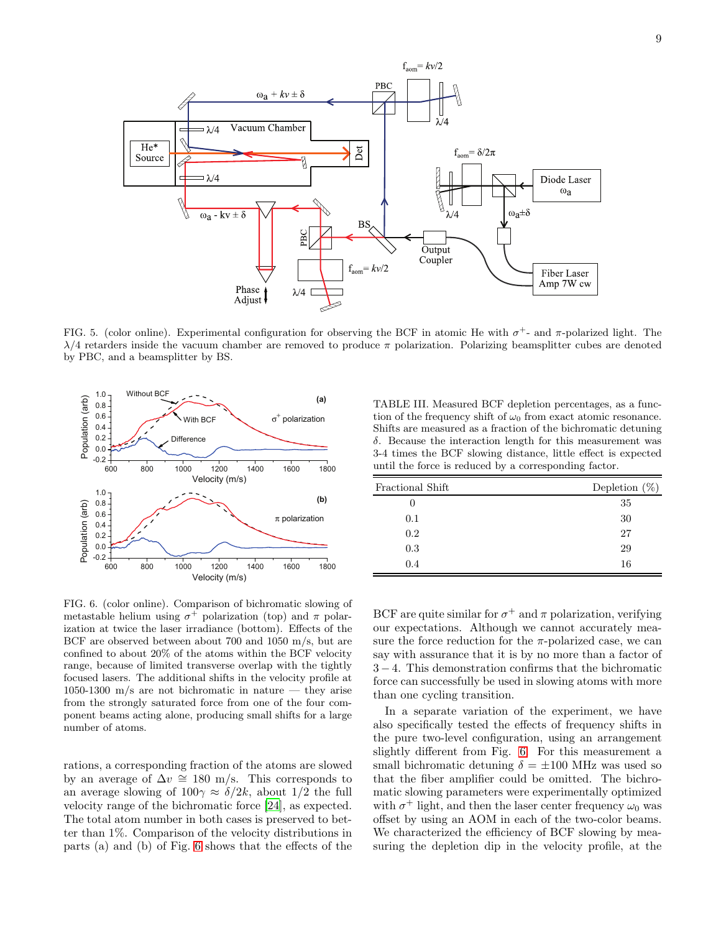

<span id="page-8-0"></span>FIG. 5. (color online). Experimental configuration for observing the BCF in atomic He with  $\sigma^+$ - and  $\pi$ -polarized light. The  $\lambda/4$  retarders inside the vacuum chamber are removed to produce  $\pi$  polarization. Polarizing beamsplitter cubes are denoted by PBC, and a beamsplitter by BS.



<span id="page-8-2"></span>TABLE III. Measured BCF depletion percentages, as a function of the frequency shift of  $\omega_0$  from exact atomic resonance. Shifts are measured as a fraction of the bichromatic detuning δ. Because the interaction length for this measurement was 3-4 times the BCF slowing distance, little effect is expected until the force is reduced by a corresponding factor.

| Fractional Shift | Depletion $(\%)$ |
|------------------|------------------|
|                  | 35               |
| 0.1              | 30               |
| 0.2              | 27               |
| 0.3              | 29               |
| 0.4              | 16               |

<span id="page-8-1"></span>FIG. 6. (color online). Comparison of bichromatic slowing of metastable helium using  $\sigma^+$  polarization (top) and  $\pi$  polarization at twice the laser irradiance (bottom). Effects of the BCF are observed between about 700 and 1050 m/s, but are confined to about 20% of the atoms within the BCF velocity range, because of limited transverse overlap with the tightly focused lasers. The additional shifts in the velocity profile at 1050-1300 m/s are not bichromatic in nature — they arise from the strongly saturated force from one of the four component beams acting alone, producing small shifts for a large number of atoms.

rations, a corresponding fraction of the atoms are slowed by an average of  $\Delta v \cong 180$  m/s. This corresponds to an average slowing of  $100\gamma \approx \delta/2k$ , about  $1/2$  the full velocity range of the bichromatic force [\[24](#page-9-12)], as expected. The total atom number in both cases is preserved to better than 1%. Comparison of the velocity distributions in parts (a) and (b) of Fig. [6](#page-8-1) shows that the effects of the

BCF are quite similar for  $\sigma^+$  and  $\pi$  polarization, verifying our expectations. Although we cannot accurately measure the force reduction for the  $\pi$ -polarized case, we can say with assurance that it is by no more than a factor of 3 − 4. This demonstration confirms that the bichromatic force can successfully be used in slowing atoms with more than one cycling transition.

In a separate variation of the experiment, we have also specifically tested the effects of frequency shifts in the pure two-level configuration, using an arrangement slightly different from Fig. [6.](#page-8-1) For this measurement a small bichromatic detuning  $\delta = \pm 100$  MHz was used so that the fiber amplifier could be omitted. The bichromatic slowing parameters were experimentally optimized with  $\sigma^+$  light, and then the laser center frequency  $\omega_0$  was offset by using an AOM in each of the two-color beams. We characterized the efficiency of BCF slowing by measuring the depletion dip in the velocity profile, at the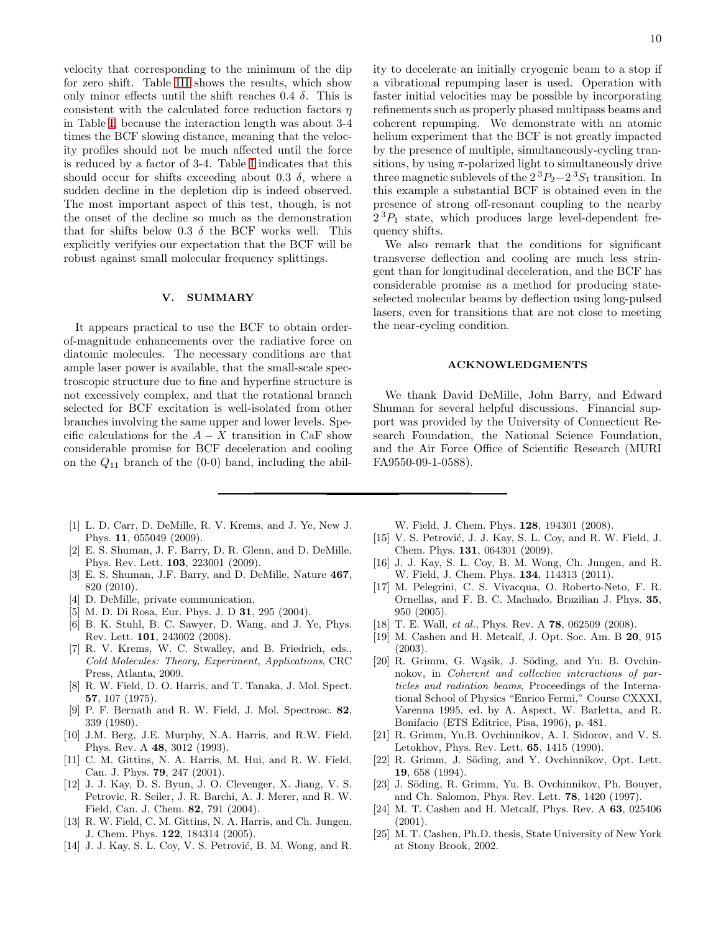velocity that corresponding to the minimum of the dip for zero shift. Table [III](#page-8-2) shows the results, which show only minor effects until the shift reaches 0.4  $\delta$ . This is consistent with the calculated force reduction factors  $\eta$ in Table [I,](#page-3-1) because the interaction length was about 3-4 times the BCF slowing distance, meaning that the velocity profiles should not be much affected until the force is reduced by a factor of 3-4. Table [I](#page-3-1) indicates that this should occur for shifts exceeding about 0.3  $\delta$ , where a sudden decline in the depletion dip is indeed observed. The most important aspect of this test, though, is not the onset of the decline so much as the demonstration that for shifts below 0.3  $\delta$  the BCF works well. This explicitly verifyies our expectation that the BCF will be robust against small molecular frequency splittings.

### V. SUMMARY

It appears practical to use the BCF to obtain orderof-magnitude enhancements over the radiative force on diatomic molecules. The necessary conditions are that ample laser power is available, that the small-scale spectroscopic structure due to fine and hyperfine structure is not excessively complex, and that the rotational branch selected for BCF excitation is well-isolated from other branches involving the same upper and lower levels. Specific calculations for the  $A - X$  transition in CaF show considerable promise for BCF deceleration and cooling on the  $Q_{11}$  branch of the (0-0) band, including the abil-

- <span id="page-9-0"></span>[1] L. D. Carr, D. DeMille, R. V. Krems, and J. Ye, New J. Phys. 11, 055049 (2009).
- <span id="page-9-1"></span>[2] E. S. Shuman, J. F. Barry, D. R. Glenn, and D. DeMille, Phys. Rev. Lett. 103, 223001 (2009).
- <span id="page-9-15"></span>[3] E. S. Shuman, J.F. Barry, and D. DeMille, Nature  $467$ , 820 (2010).
- <span id="page-9-2"></span>[4] D. DeMille, private communication.
- <span id="page-9-3"></span>[5] M. D. Di Rosa, Eur. Phys. J. D **31**, 295 (2004).
- <span id="page-9-4"></span>[6] B. K. Stuhl, B. C. Sawyer, D. Wang, and J. Ye, Phys. Rev. Lett. 101, 243002 (2008).
- <span id="page-9-5"></span>[7] R. V. Krems, W. C. Stwalley, and B. Friedrich, eds., *Cold Molecules: Theory, Experiment, Applications*, CRC Press, Atlanta, 2009.
- <span id="page-9-6"></span>[8] R. W. Field, D. O. Harris, and T. Tanaka, J. Mol. Spect. 57, 107 (1975).
- [9] P. F. Bernath and R. W. Field, J. Mol. Spectrosc. 82, 339 (1980).
- [10] J.M. Berg, J.E. Murphy, N.A. Harris, and R.W. Field, Phys. Rev. A 48, 3012 (1993).
- <span id="page-9-16"></span>[11] C. M. Gittins, N. A. Harris, M. Hui, and R. W. Field, Can. J. Phys. 79, 247 (2001).
- [12] J. J. Kay, D. S. Byun, J. O. Clevenger, X. Jiang, V. S. Petrovic, R. Seiler, J. R. Barchi, A. J. Merer, and R. W. Field, Can. J. Chem. 82, 791 (2004).
- [13] R. W. Field, C. M. Gittins, N. A. Harris, and Ch. Jungen, J. Chem. Phys. 122, 184314 (2005).
- [14] J. J. Kay, S. L. Coy, V. S. Petrović, B. M. Wong, and R.

ity to decelerate an initially cryogenic beam to a stop if a vibrational repumping laser is used. Operation with faster initial velocities may be possible by incorporating refinements such as properly phased multipass beams and coherent repumping. We demonstrate with an atomic helium experiment that the BCF is not greatly impacted by the presence of multiple, simultaneously-cycling transitions, by using  $\pi$ -polarized light to simultaneously drive three magnetic sublevels of the  $2^{3}P_{2}-2^{3}S_{1}$  transition. In this example a substantial BCF is obtained even in the presence of strong off-resonant coupling to the nearby  $2^{3}P_{1}$  state, which produces large level-dependent frequency shifts.

We also remark that the conditions for significant transverse deflection and cooling are much less stringent than for longitudinal deceleration, and the BCF has considerable promise as a method for producing stateselected molecular beams by deflection using long-pulsed lasers, even for transitions that are not close to meeting the near-cycling condition.

### ACKNOWLEDGMENTS

We thank David DeMille, John Barry, and Edward Shuman for several helpful discussions. Financial support was provided by the University of Connecticut Research Foundation, the National Science Foundation, and the Air Force Office of Scientific Research (MURI FA9550-09-1-0588).

W. Field, J. Chem. Phys. 128, 194301 (2008).

- [15] V. S. Petrović, J. J. Kay, S. L. Coy, and R. W. Field, J. Chem. Phys. 131, 064301 (2009).
- [16] J. J. Kay, S. L. Coy, B. M. Wong, Ch. Jungen, and R. W. Field, J. Chem. Phys. 134, 114313 (2011).
- <span id="page-9-14"></span>[17] M. Pelegrini, C. S. Vivacqua, O. Roberto-Neto, F. R. Ornellas, and F. B. C. Machado, Brazilian J. Phys. 35, 950 (2005).
- <span id="page-9-7"></span>[18] T. E. Wall, *et al.*, Phys. Rev. A 78, 062509 (2008).
- <span id="page-9-8"></span>[19] M. Cashen and H. Metcalf, J. Opt. Soc. Am. B 20, 915 (2003).
- <span id="page-9-9"></span>[20] R. Grimm, G. Wąsik, J. Söding, and Yu. B. Ovchinnokov, in *Coherent and collective interactions of particles and radiation beams*, Proceedings of the International School of Physics "Enrico Fermi," Course CXXXI, Varenna 1995, ed. by A. Aspect, W. Barletta, and R. Bonifacio (ETS Editrice, Pisa, 1996), p. 481.
- [21] R. Grimm, Yu.B. Ovchinnikov, A. I. Sidorov, and V. S. Letokhov, Phys. Rev. Lett. 65, 1415 (1990).
- <span id="page-9-10"></span>[22] R. Grimm, J. Söding, and Y. Ovchinnikov, Opt. Lett. 19, 658 (1994).
- <span id="page-9-11"></span>[23] J. Söding, R. Grimm, Yu. B. Ovchinnikov, Ph. Bouyer, and Ch. Salomon, Phys. Rev. Lett. 78, 1420 (1997).
- <span id="page-9-12"></span>[24] M. T. Cashen and H. Metcalf, Phys. Rev. A 63, 025406 (2001).
- <span id="page-9-13"></span>[25] M. T. Cashen, Ph.D. thesis, State University of New York at Stony Brook, 2002.